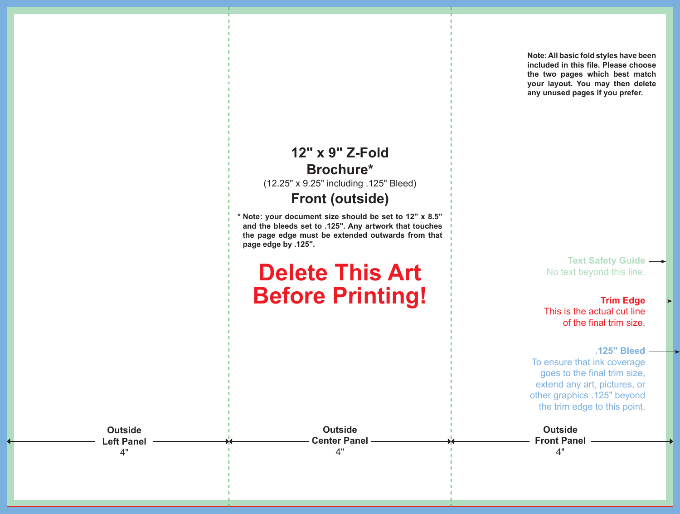**included in this file. Please choose the two pages which best match your layout. You may then delete any unused pages if you prefer.**

**Note: All basic fold styles have been** 

## **12" x 9" Z-Fold Brochure\*** (12.25" x 9.25" including .125" Bleed) **Front (outside)**

**\* Note: your document size should be set to 12" x 8.5" and the bleeds set to .125". Any artwork that touches the page edge must be extended outwards from that page edge by .125".**

## **Delete This Art Before Printing!**

**Outside Center Panel** 4"

**Text Safety Guide**  No text beyond this line.

**Trim Edge** This is the actual cut line of the final trim size.

**.125" Bleed**

To ensure that ink coverage goes to the final trim size, extend any art, pictures, or other graphics .125" beyond the trim edge to this point.



**Outside Left Panel**  4"